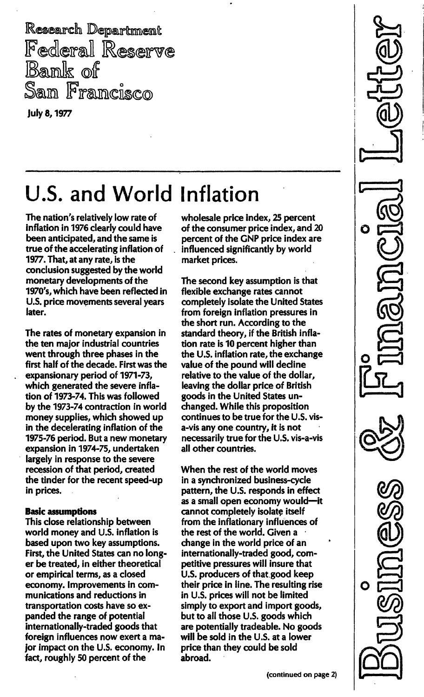Research Department Federal Reserve Bank of San Francisco

july 8, 1977

## U.S. and World Inflation

The nation's relatively low rate of inflation in 1976 clearly could have been anticipated, and the same is true of the accelerating inflation of 1977. That, at any rate, is the conclusion suggested by the world monetary developments of the 1970's, which have been reflected in U.S. price movements several years later.

The rates of monetary expansion in the ten major industrial countries went through three phases in the first half of the decade. First was the expansionary period of 1971-73, which generated the severe inflation of 1973-74. This was followed by the 1973-74 contraction in world money supplies, which showed up in the decelerating inflation of the 1975-76 period. But a new monetary expansion in 1974-75, undertaken largely in response to the severe recession of that period, created the tinder for the recent speed-up in prices.

## Basic assumptions

This close relationship between world money and U.S. inflation is based upon two key assumptions. First, the United States can no longer be treated, in either theoretical or empirical terms, as a closed economy. Improvements in communications and reductions in transportation costs have so expanded the range of potential internationally-traded goods that foreign influences now exert a major impact on the U.S. economy. In fact, roughly 50 percent of the

wholesale price index, 25 percent of the consumer price index, and 20 percent of the GNP price index are influenced significantly by world market prices.

Ô

 $\bullet$ 

The second key assumption is that flexible exchange rates cannot completely isolate the United States from foreign inflation pressures in the short run. According to the standard theory, if the British inflation rate is 10 percent higher than the U.S. inflation rate, the exchange value of the pound will decline relative to the value of the dollar, leaving the dollar price of British goods in the United States unchanged. While this proposition continues to be true for the U.S. visa-vis anyone country, it is not necessarily true for the U.S. vis-a-vis all other countries.

When the rest of the world moves in a synchronized business-cycle pattern, the U.S. responds in effect as a small open economy would--it cannot completely isolate itself from the inflationary influences of the rest of the world. Given a change in the world price of an internationally-traded good, competitive pressures will insure that U.S. producers of that good keep their price in line. The resulting rise in U.S. prices will not be limited simply to export and import goods, but to all those U.S. goods which are potentially tradeable. No goods will be sold in the U.S. at a lower price than they could be sold abroad.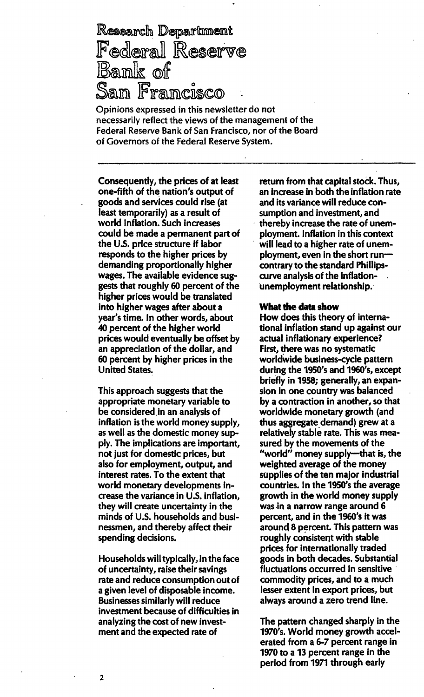Research Department Federal Reserve Bank of San Francisco

Opinions expressed in this newsletter do not necessarily reflect the views of the management of the Federal Reserve Bank of San Francisco, nor of the Board of Governors of the Federal Reserve System.

Consequently, the prices of at least one-fifth of the nation's output of goods and services could rise (at least temporarily) as a result of world inflation. Such increases could be made a permanent part of the U.S. price structure if labor responds to the higher prices by demanding proportionally higher wages. The available evidence suggests that roughly 60 percent of the higher prices would be translated into higher wages after about a year's time. In other words, about 40 percent of the higher world prices would eventually be offset by an appreciation of the dollar, and 60 percent by higher prices in the United States.

This approach suggests that the appropriate monetary variable to be considered in an analysis of inflation is the world money supply, as well as the domestic money supply. The implications are important, not just for domestic prices, but also for employment, output, and interest rates. To the extent that world monetary developments increase the variance in U.S. inflation, they wili create uncertainty in the minds of U.S. households and businessmen, and thereby affect their spending decisions.

Households will typically, in the face of uncertainty, raise their savings rate and reduce consumption out of a given level of disposable income. Businesses imilarly will reduce investment because of difficulties in analyzing the cost of new investment and the expected rate of

return from that capital stock. Thus, an increase in both the inflation rate and its variance will reduce consumption and investment, and thereby increase the rate of unemployment. Inflation in this context will lead to a higher rate of unemployment, even in the short runcontrary to the standard Phillipscurve analysis of the inflationunemployment relationship.

## What the data show

How does this theory of international inflation stand up against our actual inflationary experience? First, there was no systematic worldwide business-cycle pattern during the 1950's and 1960's, except briefly in 1958; generally, an expansion in one country was balanced by a contraction in another, so that worldwide monetary growth (and thus aggregate demand) grew at a relatively stable rate.This was measured by the movements of the "world" money supply-that is, the weighted average of the money supplies of the ten major industrial countries. In the 1950's the average growth in the world money supply was in a narrow range around 6 percent, and in the 1960's it was around 8 percent. This pattern was roughly consistent with stable prices for internationally traded goods in both decades. Substantial fluctuations occurred in sensitive commodity prices, and to a much lesser extent in export prices, but always around a zero trend line.

The pattern changed sharply in the 1970's. World money growth accelerated from a 6-7 percent range in 1970 to a 13 percent range in the period from 1971 through early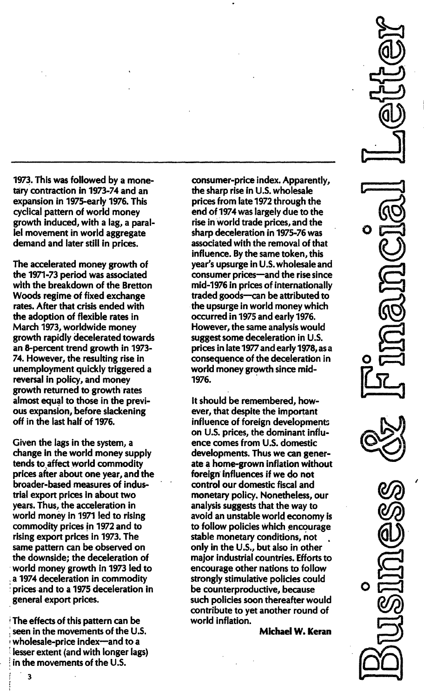1973. This was followed by a monetary contraction in 1973-74 and an expansion in 1975-early 1976. This cyclical pattern of world money growth induced, with a lag, a parallel movement in world aggregate demand and later still in prices.

The accelerated money growth of the 1971-73 period was associated with the breakdown of the Bretton Woods regime of fixed exchange rates. After that crisis ended with the adoption of flexible rates in March 1973, worldwide money growth rapidly decelerated towards an 8-percent trend growth in 1973- 74. However, the resulting rise in unemployment quickly triggered a reversal in policy, and money growth returned to growth rates almost equal to those in the previous expansion, before slackening off in the last half of 1976.

Given the lags in the system, a change in the world money supply tends to affect world commodity prices after about one year, and the broader-based measures of industrial export prices in about two years. Thus, the acceleration in world money in 1971 led to rising commodity prices in 1972 and to rising export prices in 1973. The same pattern can be observed on the downside; the deceleration of world money growth in 1973 led to a 1974 deceleration in commodity , prices and to a 1975 deceleration in general export prices.

The effects of this pattern can be , seen in the movements of the U.S. wholesale-price index-and to a lesser extent (and with longer lags) in the movements of the U.S.

consumer-price index. Apparently, the sharp rise in U.S. wholesale prices from late 1972 through the end of 1974 was largely due to the rise in world trade prices, and the sharp deceleration in 1975-76 was associated with the removal of that influence. By the same token, this year's upsurge in U.S. wholesale and consumer prices-and the rise since mid-1976 in prices of internationally traded goods-can be attributed to the upsurge in world money which occurred in 1975 and early 1976. However, the same analysis would suggest some deceleration in U.S. prices in late 1977 and early 1978, as a consequence of the deceleration in world money growth since mid-1976.

it should be remembered, however, that despite the important influence of foreign developments on U.S. prices, the dominant ence comes from U.S. domestic developments. Thus we can generate a home-grown inflation without foreign' influences if we do not control our domestic fiscal and monetary policy. Nonetheless, our analysis suggests that the way to avoid an unstable world economy is to follow policies which encourage stable monetary conditions, not only in the U.S., but also in other major industrial countries. Efforts to encourage other nations to follow strongly stimulative policies could be counterproductive, because such policies soon thereafter would contribute to yet another round of world inflation.

Michael W. Keran

3